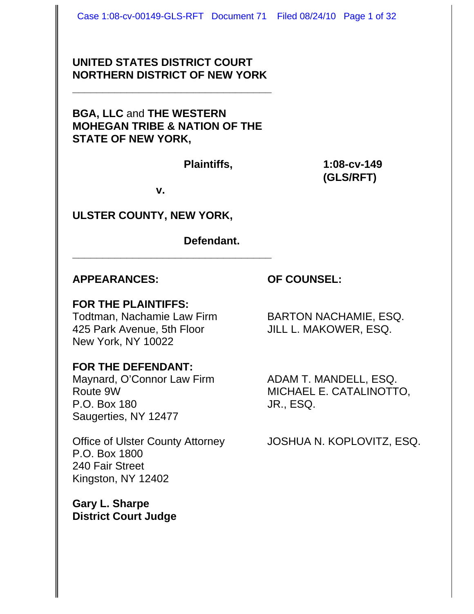### **UNITED STATES DISTRICT COURT NORTHERN DISTRICT OF NEW YORK**

**\_\_\_\_\_\_\_\_\_\_\_\_\_\_\_\_\_\_\_\_\_\_\_\_\_\_\_\_\_\_\_\_\_**

**BGA, LLC** and **THE WESTERN MOHEGAN TRIBE & NATION OF THE STATE OF NEW YORK,**

**Plaintiffs, 1:08-cv-149 (GLS/RFT)**

**v.**

**\_\_\_\_\_\_\_\_\_\_\_\_\_\_\_\_\_\_\_\_\_\_\_\_\_\_\_\_\_\_\_\_\_**

### **ULSTER COUNTY, NEW YORK,**

**Defendant.**

#### **APPEARANCES: OF COUNSEL:**

#### **FOR THE PLAINTIFFS:**

Todtman, Nachamie Law Firm BARTON NACHAMIE, ESQ. 425 Park Avenue, 5th Floor JILL L. MAKOWER, ESQ. New York, NY 10022

### **FOR THE DEFENDANT:**

Maynard, O'Connor Law Firm ADAM T. MANDELL, ESQ. P.O. Box 180 JR., ESQ. Saugerties, NY 12477

P.O. Box 1800 240 Fair Street Kingston, NY 12402

**Gary L. Sharpe District Court Judge**

Route 9W MICHAEL E. CATALINOTTO,

Office of Ulster County Attorney JOSHUA N. KOPLOVITZ, ESQ.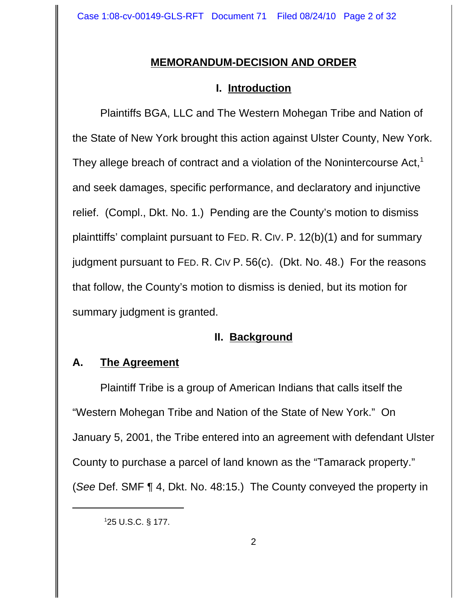## **MEMORANDUM-DECISION AND ORDER**

## **I. Introduction**

Plaintiffs BGA, LLC and The Western Mohegan Tribe and Nation of the State of New York brought this action against Ulster County, New York. They allege breach of contract and a violation of the Nonintercourse Act, $<sup>1</sup>$ </sup> and seek damages, specific performance, and declaratory and injunctive relief. (Compl., Dkt. No. 1.) Pending are the County's motion to dismiss plainttiffs' complaint pursuant to FED. R. CIV. P. 12(b)(1) and for summary judgment pursuant to FED. R. CIV P. 56(c). (Dkt. No. 48.) For the reasons that follow, the County's motion to dismiss is denied, but its motion for summary judgment is granted.

### **II. Background**

## **A. The Agreement**

Plaintiff Tribe is a group of American Indians that calls itself the "Western Mohegan Tribe and Nation of the State of New York." On January 5, 2001, the Tribe entered into an agreement with defendant Ulster County to purchase a parcel of land known as the "Tamarack property." (*See* Def. SMF ¶ 4, Dkt. No. 48:15.) The County conveyed the property in

<sup>1</sup> 25 U.S.C. § 177.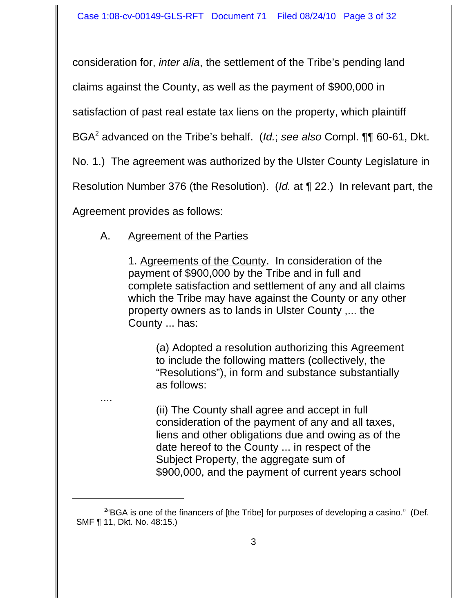consideration for, *inter alia*, the settlement of the Tribe's pending land

claims against the County, as well as the payment of \$900,000 in

satisfaction of past real estate tax liens on the property, which plaintiff

BGA2 advanced on the Tribe's behalf. (*Id.*; *see also* Compl. ¶¶ 60-61, Dkt.

No. 1.) The agreement was authorized by the Ulster County Legislature in

Resolution Number 376 (the Resolution). (*Id.* at ¶ 22.) In relevant part, the

Agreement provides as follows:

....

# A. Agreement of the Parties

1. Agreements of the County. In consideration of the payment of \$900,000 by the Tribe and in full and complete satisfaction and settlement of any and all claims which the Tribe may have against the County or any other property owners as to lands in Ulster County ,... the County ... has:

(a) Adopted a resolution authorizing this Agreement to include the following matters (collectively, the "Resolutions"), in form and substance substantially as follows:

(ii) The County shall agree and accept in full consideration of the payment of any and all taxes, liens and other obligations due and owing as of the date hereof to the County ... in respect of the Subject Property, the aggregate sum of \$900,000, and the payment of current years school

<sup>&</sup>lt;sup>2</sup>"BGA is one of the financers of [the Tribe] for purposes of developing a casino." (Def. SMF ¶ 11, Dkt. No. 48:15.)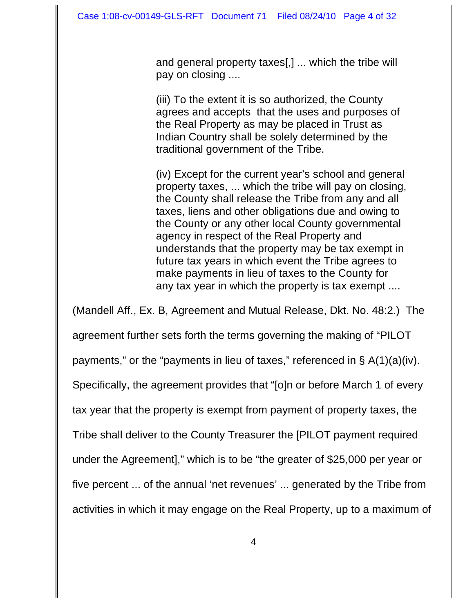and general property taxes[,] ... which the tribe will pay on closing ....

(iii) To the extent it is so authorized, the County agrees and accepts that the uses and purposes of the Real Property as may be placed in Trust as Indian Country shall be solely determined by the traditional government of the Tribe.

(iv) Except for the current year's school and general property taxes, ... which the tribe will pay on closing, the County shall release the Tribe from any and all taxes, liens and other obligations due and owing to the County or any other local County governmental agency in respect of the Real Property and understands that the property may be tax exempt in future tax years in which event the Tribe agrees to make payments in lieu of taxes to the County for any tax year in which the property is tax exempt ....

(Mandell Aff., Ex. B, Agreement and Mutual Release, Dkt. No. 48:2.) The agreement further sets forth the terms governing the making of "PILOT payments," or the "payments in lieu of taxes," referenced in  $\S$  A(1)(a)(iv). Specifically, the agreement provides that "[o]n or before March 1 of every tax year that the property is exempt from payment of property taxes, the Tribe shall deliver to the County Treasurer the [PILOT payment required under the Agreement]," which is to be "the greater of \$25,000 per year or five percent ... of the annual 'net revenues' ... generated by the Tribe from activities in which it may engage on the Real Property, up to a maximum of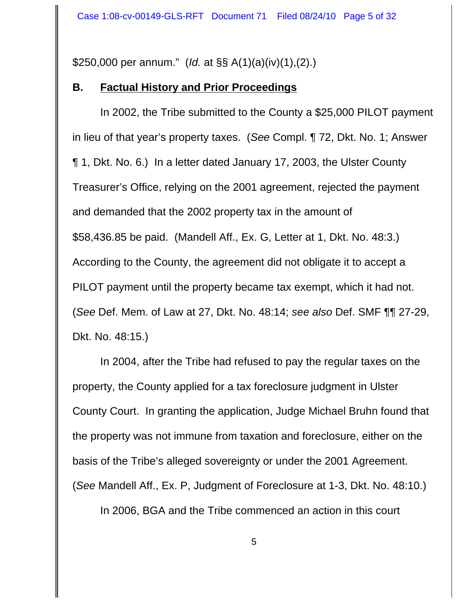\$250,000 per annum." (*Id.* at §§ A(1)(a)(iv)(1),(2).)

### **B. Factual History and Prior Proceedings**

In 2002, the Tribe submitted to the County a \$25,000 PILOT payment in lieu of that year's property taxes. (*See* Compl. ¶ 72, Dkt. No. 1; Answer ¶ 1, Dkt. No. 6.) In a letter dated January 17, 2003, the Ulster County Treasurer's Office, relying on the 2001 agreement, rejected the payment and demanded that the 2002 property tax in the amount of \$58,436.85 be paid. (Mandell Aff., Ex. G, Letter at 1, Dkt. No. 48:3.) According to the County, the agreement did not obligate it to accept a PILOT payment until the property became tax exempt, which it had not. (*See* Def. Mem. of Law at 27, Dkt. No. 48:14; *see also* Def. SMF ¶¶ 27-29, Dkt. No. 48:15.)

In 2004, after the Tribe had refused to pay the regular taxes on the property, the County applied for a tax foreclosure judgment in Ulster County Court. In granting the application, Judge Michael Bruhn found that the property was not immune from taxation and foreclosure, either on the basis of the Tribe's alleged sovereignty or under the 2001 Agreement. (*See* Mandell Aff., Ex. P, Judgment of Foreclosure at 1-3, Dkt. No. 48:10.)

In 2006, BGA and the Tribe commenced an action in this court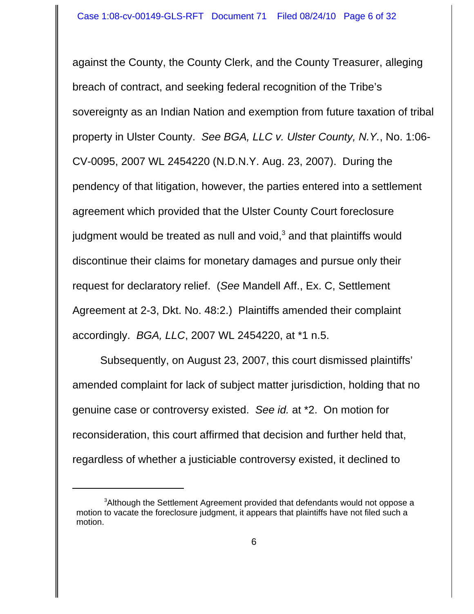against the County, the County Clerk, and the County Treasurer, alleging breach of contract, and seeking federal recognition of the Tribe's sovereignty as an Indian Nation and exemption from future taxation of tribal property in Ulster County. *See BGA, LLC v. Ulster County, N.Y.*, No. 1:06- CV-0095, 2007 WL 2454220 (N.D.N.Y. Aug. 23, 2007). During the pendency of that litigation, however, the parties entered into a settlement agreement which provided that the Ulster County Court foreclosure judgment would be treated as null and void, $^3$  and that plaintiffs would discontinue their claims for monetary damages and pursue only their request for declaratory relief. (*See* Mandell Aff., Ex. C, Settlement Agreement at 2-3, Dkt. No. 48:2.) Plaintiffs amended their complaint accordingly. *BGA, LLC*, 2007 WL 2454220, at \*1 n.5.

Subsequently, on August 23, 2007, this court dismissed plaintiffs' amended complaint for lack of subject matter jurisdiction, holding that no genuine case or controversy existed. *See id.* at \*2. On motion for reconsideration, this court affirmed that decision and further held that, regardless of whether a justiciable controversy existed, it declined to

<sup>&</sup>lt;sup>3</sup>Although the Settlement Agreement provided that defendants would not oppose a motion to vacate the foreclosure judgment, it appears that plaintiffs have not filed such a motion.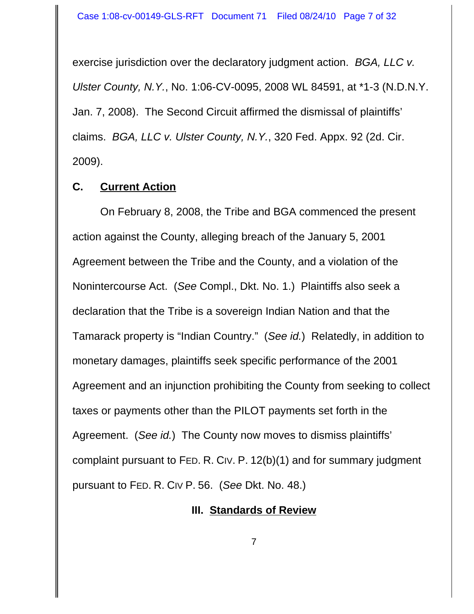exercise jurisdiction over the declaratory judgment action. *BGA, LLC v. Ulster County, N.Y.*, No. 1:06-CV-0095, 2008 WL 84591, at \*1-3 (N.D.N.Y. Jan. 7, 2008). The Second Circuit affirmed the dismissal of plaintiffs' claims. *BGA, LLC v. Ulster County, N.Y.*, 320 Fed. Appx. 92 (2d. Cir. 2009).

#### **C. Current Action**

On February 8, 2008, the Tribe and BGA commenced the present action against the County, alleging breach of the January 5, 2001 Agreement between the Tribe and the County, and a violation of the Nonintercourse Act. (*See* Compl., Dkt. No. 1.) Plaintiffs also seek a declaration that the Tribe is a sovereign Indian Nation and that the Tamarack property is "Indian Country." (*See id.*) Relatedly, in addition to monetary damages, plaintiffs seek specific performance of the 2001 Agreement and an injunction prohibiting the County from seeking to collect taxes or payments other than the PILOT payments set forth in the Agreement. (*See id.*) The County now moves to dismiss plaintiffs' complaint pursuant to FED. R. CIV. P. 12(b)(1) and for summary judgment pursuant to FED. R. CIV P. 56. (*See* Dkt. No. 48.)

#### **III. Standards of Review**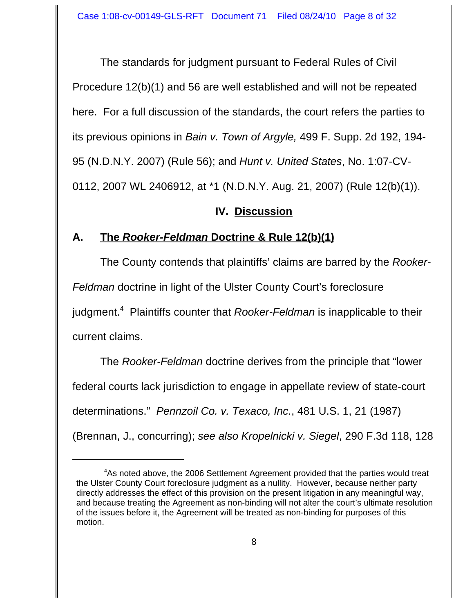The standards for judgment pursuant to Federal Rules of Civil Procedure 12(b)(1) and 56 are well established and will not be repeated here. For a full discussion of the standards, the court refers the parties to its previous opinions in *Bain v. Town of Argyle,* 499 F. Supp. 2d 192, 194- 95 (N.D.N.Y. 2007) (Rule 56); and *Hunt v. United States*, No. 1:07-CV-0112, 2007 WL 2406912, at \*1 (N.D.N.Y. Aug. 21, 2007) (Rule 12(b)(1)).

### **IV. Discussion**

## **A. The** *Rooker-Feldman* **Doctrine & Rule 12(b)(1)**

The County contends that plaintiffs' claims are barred by the *Rooker-Feldman* doctrine in light of the Ulster County Court's foreclosure judgment.<sup>4</sup> Plaintiffs counter that *Rooker-Feldman* is inapplicable to their current claims.

The *Rooker-Feldman* doctrine derives from the principle that "lower federal courts lack jurisdiction to engage in appellate review of state-court determinations." *Pennzoil Co. v. Texaco, Inc.*, 481 U.S. 1, 21 (1987) (Brennan, J., concurring); *see also Kropelnicki v. Siegel*, 290 F.3d 118, 128

<sup>&</sup>lt;sup>4</sup>As noted above, the 2006 Settlement Agreement provided that the parties would treat the Ulster County Court foreclosure judgment as a nullity. However, because neither party directly addresses the effect of this provision on the present litigation in any meaningful way, and because treating the Agreement as non-binding will not alter the court's ultimate resolution of the issues before it, the Agreement will be treated as non-binding for purposes of this motion.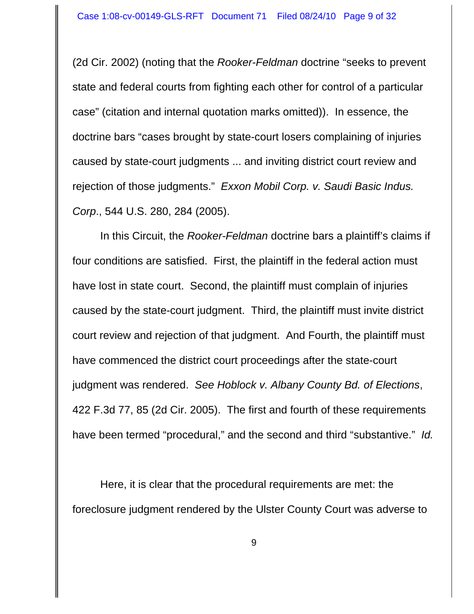(2d Cir. 2002) (noting that the *Rooker-Feldman* doctrine "seeks to prevent state and federal courts from fighting each other for control of a particular case" (citation and internal quotation marks omitted)). In essence, the doctrine bars "cases brought by state-court losers complaining of injuries caused by state-court judgments ... and inviting district court review and rejection of those judgments." *Exxon Mobil Corp. v. Saudi Basic Indus. Corp*., 544 U.S. 280, 284 (2005).

In this Circuit, the *Rooker-Feldman* doctrine bars a plaintiff's claims if four conditions are satisfied. First, the plaintiff in the federal action must have lost in state court. Second, the plaintiff must complain of injuries caused by the state-court judgment. Third, the plaintiff must invite district court review and rejection of that judgment. And Fourth, the plaintiff must have commenced the district court proceedings after the state-court judgment was rendered. *See Hoblock v. Albany County Bd. of Elections*, 422 F.3d 77, 85 (2d Cir. 2005). The first and fourth of these requirements have been termed "procedural," and the second and third "substantive." *Id.* 

Here, it is clear that the procedural requirements are met: the foreclosure judgment rendered by the Ulster County Court was adverse to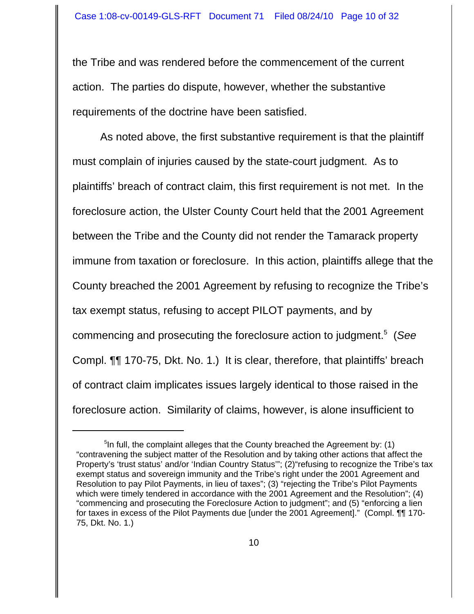the Tribe and was rendered before the commencement of the current action. The parties do dispute, however, whether the substantive requirements of the doctrine have been satisfied.

As noted above, the first substantive requirement is that the plaintiff must complain of injuries caused by the state-court judgment. As to plaintiffs' breach of contract claim, this first requirement is not met. In the foreclosure action, the Ulster County Court held that the 2001 Agreement between the Tribe and the County did not render the Tamarack property immune from taxation or foreclosure. In this action, plaintiffs allege that the County breached the 2001 Agreement by refusing to recognize the Tribe's tax exempt status, refusing to accept PILOT payments, and by commencing and prosecuting the foreclosure action to judgment.<sup>5</sup> (*See* Compl. ¶¶ 170-75, Dkt. No. 1.) It is clear, therefore, that plaintiffs' breach of contract claim implicates issues largely identical to those raised in the foreclosure action. Similarity of claims, however, is alone insufficient to

<sup>&</sup>lt;sup>5</sup>In full, the complaint alleges that the County breached the Agreement by: (1) "contravening the subject matter of the Resolution and by taking other actions that affect the Property's 'trust status' and/or 'Indian Country Status"; (2) "refusing to recognize the Tribe's tax exempt status and sovereign immunity and the Tribe's right under the 2001 Agreement and Resolution to pay Pilot Payments, in lieu of taxes"; (3) "rejecting the Tribe's Pilot Payments which were timely tendered in accordance with the 2001 Agreement and the Resolution"; (4) "commencing and prosecuting the Foreclosure Action to judgment"; and (5) "enforcing a lien for taxes in excess of the Pilot Payments due [under the 2001 Agreement]." (Compl. ¶¶ 170- 75, Dkt. No. 1.)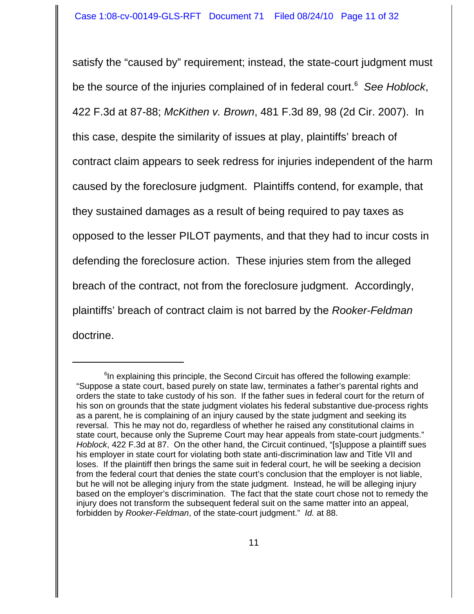satisfy the "caused by" requirement; instead, the state-court judgment must be the source of the injuries complained of in federal court.<sup>6</sup> See Hoblock, 422 F.3d at 87-88; *McKithen v. Brown*, 481 F.3d 89, 98 (2d Cir. 2007). In this case, despite the similarity of issues at play, plaintiffs' breach of contract claim appears to seek redress for injuries independent of the harm caused by the foreclosure judgment. Plaintiffs contend, for example, that they sustained damages as a result of being required to pay taxes as opposed to the lesser PILOT payments, and that they had to incur costs in defending the foreclosure action. These injuries stem from the alleged breach of the contract, not from the foreclosure judgment. Accordingly, plaintiffs' breach of contract claim is not barred by the *Rooker-Feldman* doctrine.

<sup>&</sup>lt;sup>6</sup>In explaining this principle, the Second Circuit has offered the following example: "Suppose a state court, based purely on state law, terminates a father's parental rights and orders the state to take custody of his son. If the father sues in federal court for the return of his son on grounds that the state judgment violates his federal substantive due-process rights as a parent, he is complaining of an injury caused by the state judgment and seeking its reversal. This he may not do, regardless of whether he raised any constitutional claims in state court, because only the Supreme Court may hear appeals from state-court judgments." *Hoblock*, 422 F.3d at 87. On the other hand, the Circuit continued, "[s]uppose a plaintiff sues his employer in state court for violating both state anti-discrimination law and Title VII and loses. If the plaintiff then brings the same suit in federal court, he will be seeking a decision from the federal court that denies the state court's conclusion that the employer is not liable, but he will not be alleging injury from the state judgment. Instead, he will be alleging injury based on the employer's discrimination. The fact that the state court chose not to remedy the injury does not transform the subsequent federal suit on the same matter into an appeal, forbidden by *Rooker-Feldman*, of the state-court judgment." *Id.* at 88.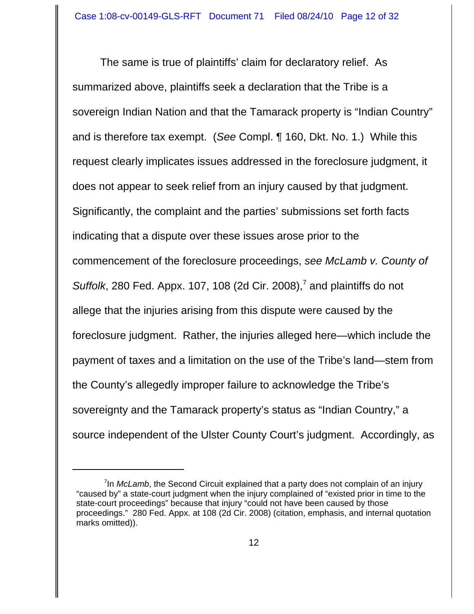The same is true of plaintiffs' claim for declaratory relief. As summarized above, plaintiffs seek a declaration that the Tribe is a sovereign Indian Nation and that the Tamarack property is "Indian Country" and is therefore tax exempt. (*See* Compl. ¶ 160, Dkt. No. 1.) While this request clearly implicates issues addressed in the foreclosure judgment, it does not appear to seek relief from an injury caused by that judgment. Significantly, the complaint and the parties' submissions set forth facts indicating that a dispute over these issues arose prior to the commencement of the foreclosure proceedings, *see McLamb v. County of* Suffolk, 280 Fed. Appx. 107, 108 (2d Cir. 2008),<sup>7</sup> and plaintiffs do not allege that the injuries arising from this dispute were caused by the foreclosure judgment. Rather, the injuries alleged here—which include the payment of taxes and a limitation on the use of the Tribe's land—stem from the County's allegedly improper failure to acknowledge the Tribe's sovereignty and the Tamarack property's status as "Indian Country," a source independent of the Ulster County Court's judgment. Accordingly, as

<sup>&</sup>lt;sup>7</sup>In *McLamb*, the Second Circuit explained that a party does not complain of an injury "caused by" a state-court judgment when the injury complained of "existed prior in time to the state-court proceedings" because that injury "could not have been caused by those proceedings." 280 Fed. Appx. at 108 (2d Cir. 2008) (citation, emphasis, and internal quotation marks omitted)).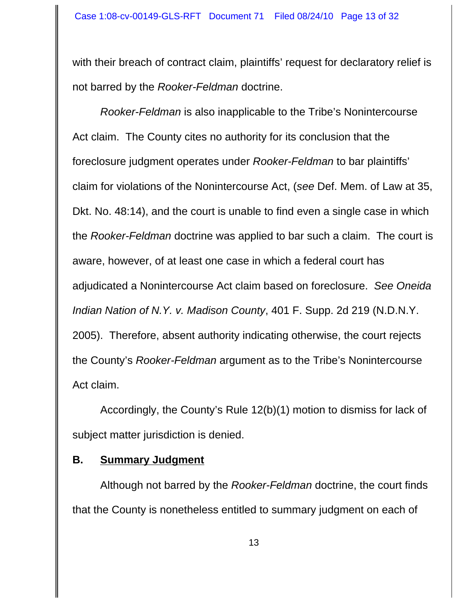with their breach of contract claim, plaintiffs' request for declaratory relief is not barred by the *Rooker-Feldman* doctrine.

*Rooker-Feldman* is also inapplicable to the Tribe's Nonintercourse Act claim. The County cites no authority for its conclusion that the foreclosure judgment operates under *Rooker-Feldman* to bar plaintiffs' claim for violations of the Nonintercourse Act, (*see* Def. Mem. of Law at 35, Dkt. No. 48:14), and the court is unable to find even a single case in which the *Rooker-Feldman* doctrine was applied to bar such a claim. The court is aware, however, of at least one case in which a federal court has adjudicated a Nonintercourse Act claim based on foreclosure. *See Oneida Indian Nation of N.Y. v. Madison County*, 401 F. Supp. 2d 219 (N.D.N.Y. 2005). Therefore, absent authority indicating otherwise, the court rejects the County's *Rooker-Feldman* argument as to the Tribe's Nonintercourse Act claim.

Accordingly, the County's Rule 12(b)(1) motion to dismiss for lack of subject matter jurisdiction is denied.

## **B. Summary Judgment**

Although not barred by the *Rooker-Feldman* doctrine, the court finds that the County is nonetheless entitled to summary judgment on each of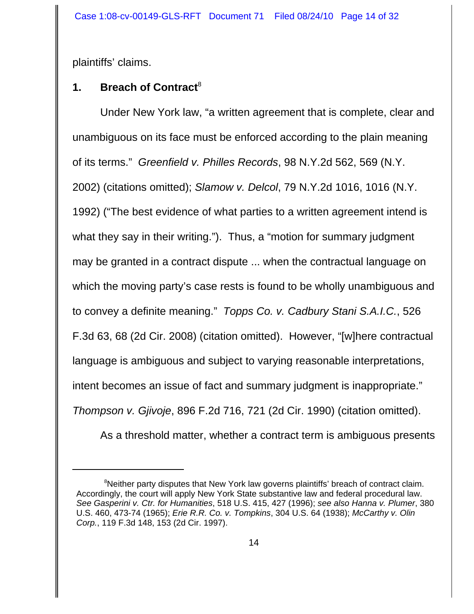plaintiffs' claims.

# **1.** Breach of Contract<sup>8</sup>

Under New York law, "a written agreement that is complete, clear and unambiguous on its face must be enforced according to the plain meaning of its terms." *Greenfield v. Philles Records*, 98 N.Y.2d 562, 569 (N.Y. 2002) (citations omitted); *Slamow v. Delcol*, 79 N.Y.2d 1016, 1016 (N.Y. 1992) ("The best evidence of what parties to a written agreement intend is what they say in their writing."). Thus, a "motion for summary judgment may be granted in a contract dispute ... when the contractual language on which the moving party's case rests is found to be wholly unambiguous and to convey a definite meaning." *Topps Co. v. Cadbury Stani S.A.I.C.*, 526 F.3d 63, 68 (2d Cir. 2008) (citation omitted). However, "[w]here contractual language is ambiguous and subject to varying reasonable interpretations, intent becomes an issue of fact and summary judgment is inappropriate." *Thompson v. Gjivoje*, 896 F.2d 716, 721 (2d Cir. 1990) (citation omitted).

As a threshold matter, whether a contract term is ambiguous presents

<sup>&</sup>lt;sup>8</sup>Neither party disputes that New York law governs plaintiffs' breach of contract claim. Accordingly, the court will apply New York State substantive law and federal procedural law. *See Gasperini v. Ctr. for Humanities*, 518 U.S. 415, 427 (1996); *see also Hanna v. Plumer*, 380 U.S. 460, 473-74 (1965); *Erie R.R. Co. v. Tompkins*, 304 U.S. 64 (1938); *McCarthy v. Olin Corp.*, 119 F.3d 148, 153 (2d Cir. 1997).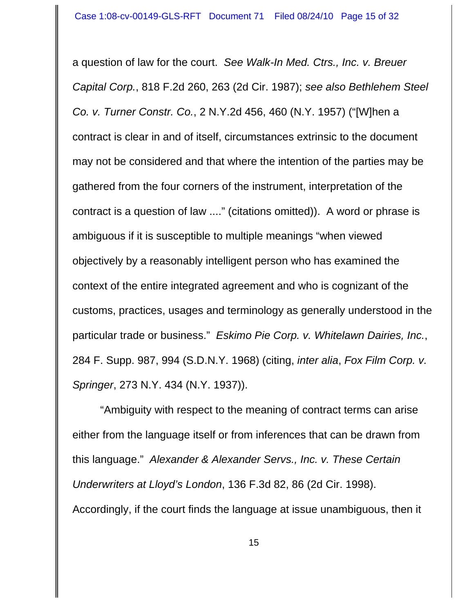a question of law for the court. *See Walk-In Med. Ctrs., Inc. v. Breuer Capital Corp.*, 818 F.2d 260, 263 (2d Cir. 1987); *see also Bethlehem Steel Co. v. Turner Constr. Co.*, 2 N.Y.2d 456, 460 (N.Y. 1957) ("[W]hen a contract is clear in and of itself, circumstances extrinsic to the document may not be considered and that where the intention of the parties may be gathered from the four corners of the instrument, interpretation of the contract is a question of law ...." (citations omitted)). A word or phrase is ambiguous if it is susceptible to multiple meanings "when viewed objectively by a reasonably intelligent person who has examined the context of the entire integrated agreement and who is cognizant of the customs, practices, usages and terminology as generally understood in the particular trade or business." *Eskimo Pie Corp. v. Whitelawn Dairies, Inc.*, 284 F. Supp. 987, 994 (S.D.N.Y. 1968) (citing, *inter alia*, *Fox Film Corp. v. Springer*, 273 N.Y. 434 (N.Y. 1937)).

"Ambiguity with respect to the meaning of contract terms can arise either from the language itself or from inferences that can be drawn from this language." *Alexander & Alexander Servs., Inc. v. These Certain Underwriters at Lloyd's London*, 136 F.3d 82, 86 (2d Cir. 1998). Accordingly, if the court finds the language at issue unambiguous, then it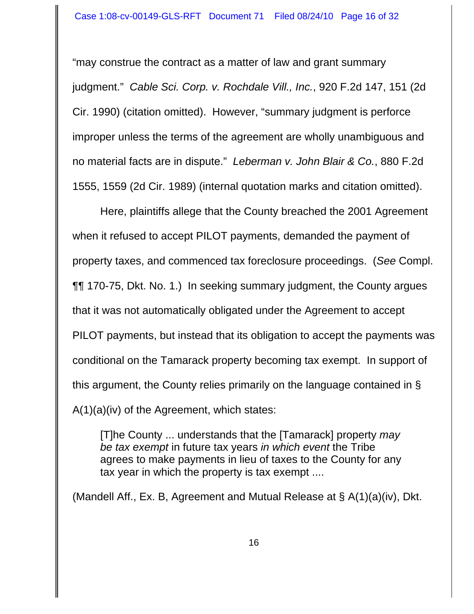"may construe the contract as a matter of law and grant summary judgment." *Cable Sci. Corp. v. Rochdale Vill., Inc.*, 920 F.2d 147, 151 (2d Cir. 1990) (citation omitted). However, "summary judgment is perforce improper unless the terms of the agreement are wholly unambiguous and no material facts are in dispute." *Leberman v. John Blair & Co.*, 880 F.2d 1555, 1559 (2d Cir. 1989) (internal quotation marks and citation omitted).

Here, plaintiffs allege that the County breached the 2001 Agreement when it refused to accept PILOT payments, demanded the payment of property taxes, and commenced tax foreclosure proceedings. (*See* Compl. ¶¶ 170-75, Dkt. No. 1.) In seeking summary judgment, the County argues that it was not automatically obligated under the Agreement to accept PILOT payments, but instead that its obligation to accept the payments was conditional on the Tamarack property becoming tax exempt. In support of this argument, the County relies primarily on the language contained in § A(1)(a)(iv) of the Agreement, which states:

[T]he County ... understands that the [Tamarack] property *may be tax exempt* in future tax years *in which event* the Tribe agrees to make payments in lieu of taxes to the County for any tax year in which the property is tax exempt ....

(Mandell Aff., Ex. B, Agreement and Mutual Release at § A(1)(a)(iv), Dkt.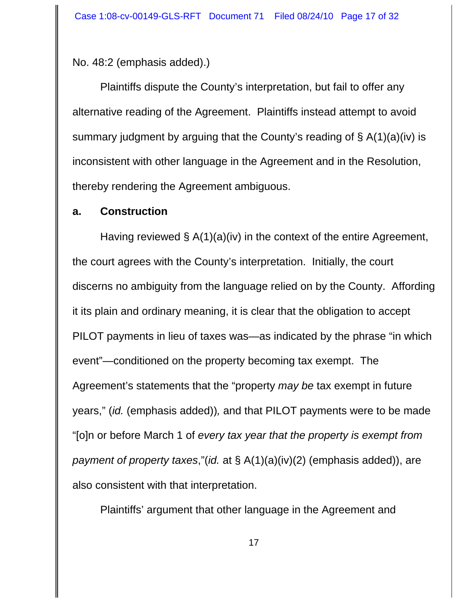No. 48:2 (emphasis added).)

Plaintiffs dispute the County's interpretation, but fail to offer any alternative reading of the Agreement. Plaintiffs instead attempt to avoid summary judgment by arguing that the County's reading of § A(1)(a)(iv) is inconsistent with other language in the Agreement and in the Resolution, thereby rendering the Agreement ambiguous.

### **a. Construction**

Having reviewed § A(1)(a)(iv) in the context of the entire Agreement, the court agrees with the County's interpretation. Initially, the court discerns no ambiguity from the language relied on by the County. Affording it its plain and ordinary meaning, it is clear that the obligation to accept PILOT payments in lieu of taxes was—as indicated by the phrase "in which event"—conditioned on the property becoming tax exempt. The Agreement's statements that the "property *may be* tax exempt in future years," (*id.* (emphasis added))*,* and that PILOT payments were to be made "[o]n or before March 1 of *every tax year that the property is exempt from payment of property taxes*,"(*id.* at § A(1)(a)(iv)(2) (emphasis added)), are also consistent with that interpretation.

Plaintiffs' argument that other language in the Agreement and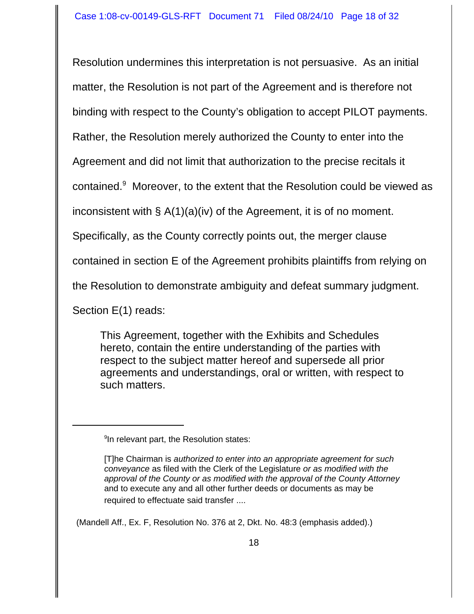Resolution undermines this interpretation is not persuasive. As an initial matter, the Resolution is not part of the Agreement and is therefore not binding with respect to the County's obligation to accept PILOT payments. Rather, the Resolution merely authorized the County to enter into the Agreement and did not limit that authorization to the precise recitals it

contained.<sup>9</sup> Moreover, to the extent that the Resolution could be viewed as

inconsistent with § A(1)(a)(iv) of the Agreement, it is of no moment.

Specifically, as the County correctly points out, the merger clause

contained in section E of the Agreement prohibits plaintiffs from relying on

the Resolution to demonstrate ambiguity and defeat summary judgment.

Section E(1) reads:

This Agreement, together with the Exhibits and Schedules hereto, contain the entire understanding of the parties with respect to the subject matter hereof and supersede all prior agreements and understandings, oral or written, with respect to such matters.

<sup>9</sup>In relevant part, the Resolution states:

(Mandell Aff., Ex. F, Resolution No. 376 at 2, Dkt. No. 48:3 (emphasis added).)

<sup>[</sup>T]he Chairman is *authorized to enter into an appropriate agreement for such conveyance* as filed with the Clerk of the Legislature *or as modified with the approval of the County or as modified with the approval of the County Attorney* and to execute any and all other further deeds or documents as may be required to effectuate said transfer ....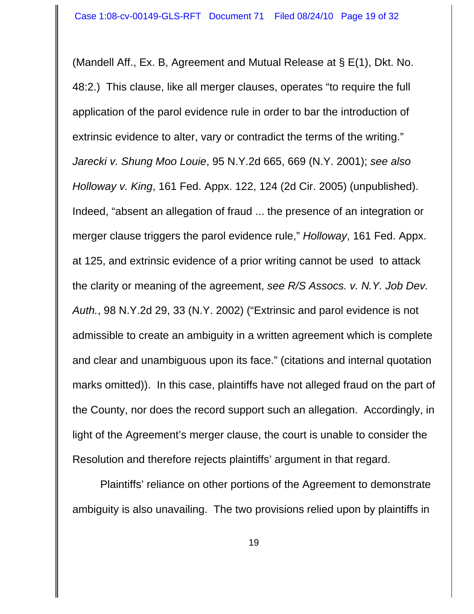(Mandell Aff., Ex. B, Agreement and Mutual Release at § E(1), Dkt. No. 48:2.) This clause, like all merger clauses, operates "to require the full application of the parol evidence rule in order to bar the introduction of extrinsic evidence to alter, vary or contradict the terms of the writing." *Jarecki v. Shung Moo Louie*, 95 N.Y.2d 665, 669 (N.Y. 2001); *see also Holloway v. King*, 161 Fed. Appx. 122, 124 (2d Cir. 2005) (unpublished). Indeed, "absent an allegation of fraud ... the presence of an integration or merger clause triggers the parol evidence rule," *Holloway*, 161 Fed. Appx. at 125, and extrinsic evidence of a prior writing cannot be used to attack the clarity or meaning of the agreement, *see R/S Assocs. v. N.Y. Job Dev. Auth.*, 98 N.Y.2d 29, 33 (N.Y. 2002) ("Extrinsic and parol evidence is not admissible to create an ambiguity in a written agreement which is complete and clear and unambiguous upon its face." (citations and internal quotation marks omitted)). In this case, plaintiffs have not alleged fraud on the part of the County, nor does the record support such an allegation. Accordingly, in light of the Agreement's merger clause, the court is unable to consider the Resolution and therefore rejects plaintiffs' argument in that regard.

Plaintiffs' reliance on other portions of the Agreement to demonstrate ambiguity is also unavailing. The two provisions relied upon by plaintiffs in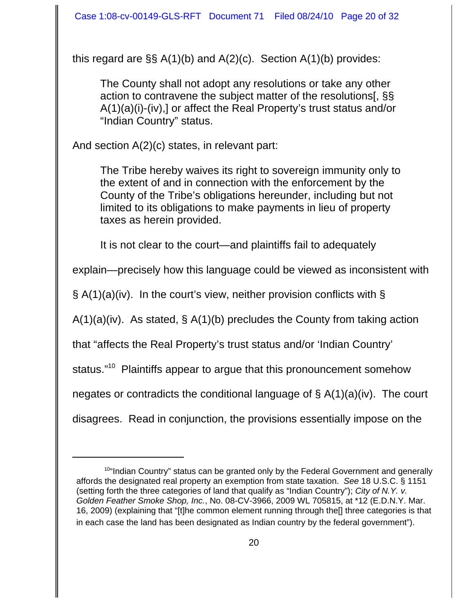this regard are §§ A(1)(b) and A(2)(c). Section A(1)(b) provides:

The County shall not adopt any resolutions or take any other action to contravene the subject matter of the resolutions[, §§ A(1)(a)(i)-(iv),] or affect the Real Property's trust status and/or "Indian Country" status.

And section A(2)(c) states, in relevant part:

 The Tribe hereby waives its right to sovereign immunity only to the extent of and in connection with the enforcement by the County of the Tribe's obligations hereunder, including but not limited to its obligations to make payments in lieu of property taxes as herein provided.

It is not clear to the court—and plaintiffs fail to adequately

explain—precisely how this language could be viewed as inconsistent with

 $\S$  A(1)(a)(iv). In the court's view, neither provision conflicts with  $\S$ 

A(1)(a)(iv). As stated, § A(1)(b) precludes the County from taking action

that "affects the Real Property's trust status and/or 'Indian Country'

status."<sup>10</sup> Plaintiffs appear to argue that this pronouncement somehow

negates or contradicts the conditional language of  $\S A(1)(a)(iv)$ . The court

disagrees. Read in conjunction, the provisions essentially impose on the

 $10$ "Indian Country" status can be granted only by the Federal Government and generally affords the designated real property an exemption from state taxation. *See* 18 U.S.C. § 1151 (setting forth the three categories of land that qualify as "Indian Country"); *City of N.Y. v. Golden Feather Smoke Shop, Inc.*, No. 08-CV-3966, 2009 WL 705815, at \*12 (E.D.N.Y. Mar. 16, 2009) (explaining that "[t]he common element running through the[] three categories is that in each case the land has been designated as Indian country by the federal government").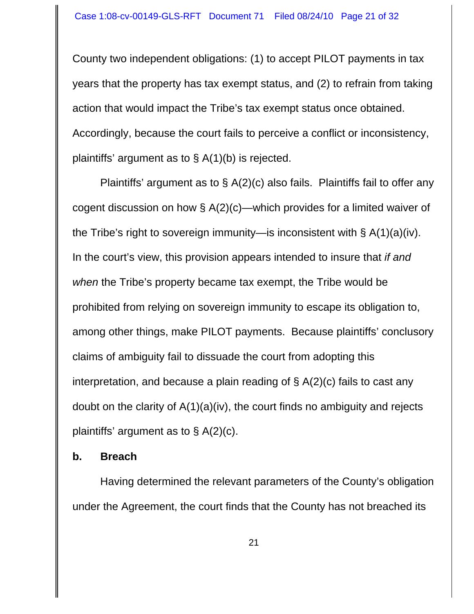County two independent obligations: (1) to accept PILOT payments in tax years that the property has tax exempt status, and (2) to refrain from taking action that would impact the Tribe's tax exempt status once obtained. Accordingly, because the court fails to perceive a conflict or inconsistency, plaintiffs' argument as to § A(1)(b) is rejected.

Plaintiffs' argument as to § A(2)(c) also fails. Plaintiffs fail to offer any cogent discussion on how § A(2)(c)—which provides for a limited waiver of the Tribe's right to sovereign immunity—is inconsistent with § A(1)(a)(iv). In the court's view, this provision appears intended to insure that *if and when* the Tribe's property became tax exempt, the Tribe would be prohibited from relying on sovereign immunity to escape its obligation to, among other things, make PILOT payments. Because plaintiffs' conclusory claims of ambiguity fail to dissuade the court from adopting this interpretation, and because a plain reading of § A(2)(c) fails to cast any doubt on the clarity of A(1)(a)(iv), the court finds no ambiguity and rejects plaintiffs' argument as to  $\S$  A(2)(c).

## **b. Breach**

Having determined the relevant parameters of the County's obligation under the Agreement, the court finds that the County has not breached its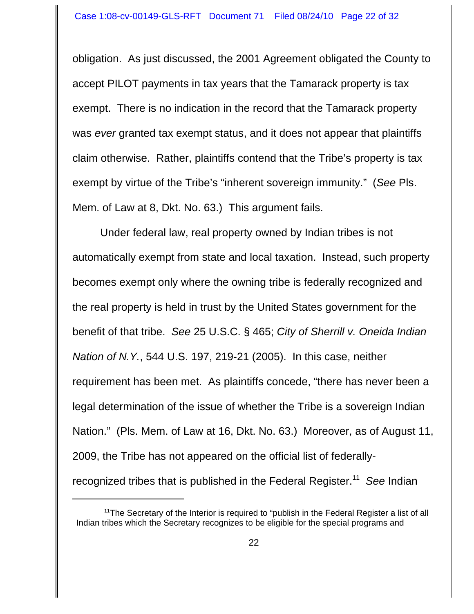obligation. As just discussed, the 2001 Agreement obligated the County to accept PILOT payments in tax years that the Tamarack property is tax exempt. There is no indication in the record that the Tamarack property was *ever* granted tax exempt status, and it does not appear that plaintiffs claim otherwise. Rather, plaintiffs contend that the Tribe's property is tax exempt by virtue of the Tribe's "inherent sovereign immunity." (*See* Pls. Mem. of Law at 8, Dkt. No. 63.) This argument fails.

Under federal law, real property owned by Indian tribes is not automatically exempt from state and local taxation. Instead, such property becomes exempt only where the owning tribe is federally recognized and the real property is held in trust by the United States government for the benefit of that tribe. *See* 25 U.S.C. § 465; *City of Sherrill v. Oneida Indian Nation of N.Y.*, 544 U.S. 197, 219-21 (2005). In this case, neither requirement has been met. As plaintiffs concede, "there has never been a legal determination of the issue of whether the Tribe is a sovereign Indian Nation." (Pls. Mem. of Law at 16, Dkt. No. 63.) Moreover, as of August 11, 2009, the Tribe has not appeared on the official list of federallyrecognized tribes that is published in the Federal Register.11 *See* Indian

 $11$ <sup>11</sup>The Secretary of the Interior is required to "publish in the Federal Register a list of all Indian tribes which the Secretary recognizes to be eligible for the special programs and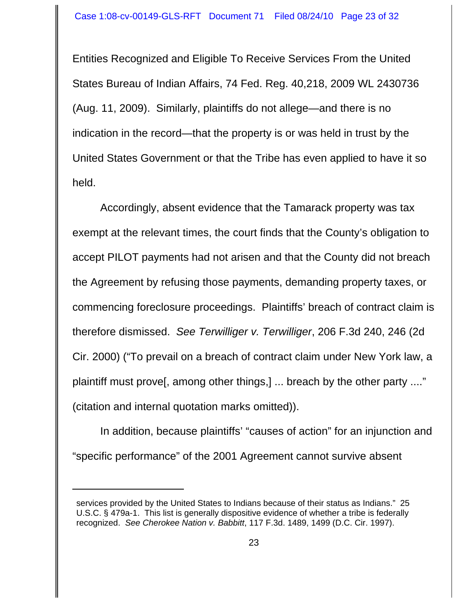Entities Recognized and Eligible To Receive Services From the United States Bureau of Indian Affairs, 74 Fed. Reg. 40,218, 2009 WL 2430736 (Aug. 11, 2009). Similarly, plaintiffs do not allege—and there is no indication in the record—that the property is or was held in trust by the United States Government or that the Tribe has even applied to have it so held.

Accordingly, absent evidence that the Tamarack property was tax exempt at the relevant times, the court finds that the County's obligation to accept PILOT payments had not arisen and that the County did not breach the Agreement by refusing those payments, demanding property taxes, or commencing foreclosure proceedings. Plaintiffs' breach of contract claim is therefore dismissed. *See Terwilliger v. Terwilliger*, 206 F.3d 240, 246 (2d Cir. 2000) ("To prevail on a breach of contract claim under New York law, a plaintiff must prove[, among other things,] ... breach by the other party ...." (citation and internal quotation marks omitted)).

In addition, because plaintiffs' "causes of action" for an injunction and "specific performance" of the 2001 Agreement cannot survive absent

services provided by the United States to Indians because of their status as Indians." 25 U.S.C. § 479a-1. This list is generally dispositive evidence of whether a tribe is federally recognized. *See Cherokee Nation v. Babbitt*, 117 F.3d. 1489, 1499 (D.C. Cir. 1997).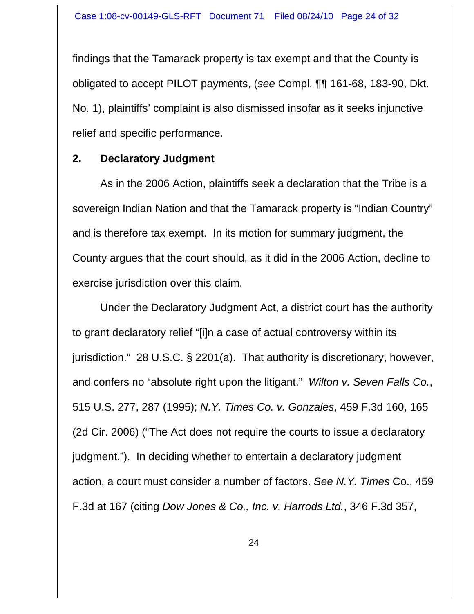findings that the Tamarack property is tax exempt and that the County is obligated to accept PILOT payments, (*see* Compl. ¶¶ 161-68, 183-90, Dkt. No. 1), plaintiffs' complaint is also dismissed insofar as it seeks injunctive relief and specific performance.

#### **2. Declaratory Judgment**

As in the 2006 Action, plaintiffs seek a declaration that the Tribe is a sovereign Indian Nation and that the Tamarack property is "Indian Country" and is therefore tax exempt. In its motion for summary judgment, the County argues that the court should, as it did in the 2006 Action, decline to exercise jurisdiction over this claim.

Under the Declaratory Judgment Act, a district court has the authority to grant declaratory relief "[i]n a case of actual controversy within its jurisdiction." 28 U.S.C. § 2201(a). That authority is discretionary, however, and confers no "absolute right upon the litigant." *Wilton v. Seven Falls Co.*, 515 U.S. 277, 287 (1995); *N.Y. Times Co. v. Gonzales*, 459 F.3d 160, 165 (2d Cir. 2006) ("The Act does not require the courts to issue a declaratory judgment."). In deciding whether to entertain a declaratory judgment action, a court must consider a number of factors. *See N.Y. Times* Co., 459 F.3d at 167 (citing *Dow Jones & Co., Inc. v. Harrods Ltd.*, 346 F.3d 357,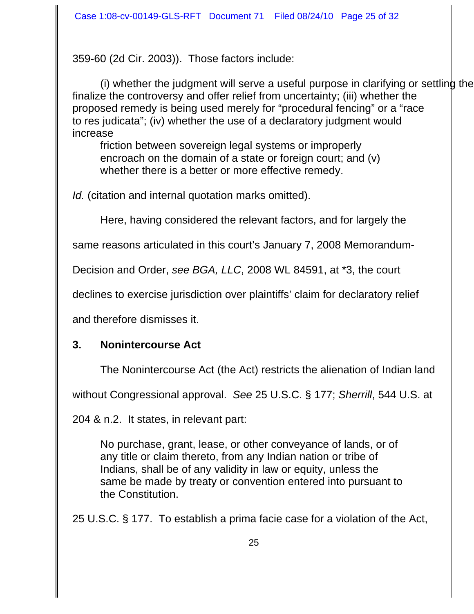359-60 (2d Cir. 2003)). Those factors include:

(i) whether the judgment will serve a useful purpose in clarifying or settling the finalize the controversy and offer relief from uncertainty; (iii) whether the proposed remedy is being used merely for "procedural fencing" or a "race to res judicata"; (iv) whether the use of a declaratory judgment would increase

friction between sovereign legal systems or improperly encroach on the domain of a state or foreign court; and (v) whether there is a better or more effective remedy.

*Id.* (citation and internal quotation marks omitted).

Here, having considered the relevant factors, and for largely the

same reasons articulated in this court's January 7, 2008 Memorandum-

Decision and Order, *see BGA, LLC*, 2008 WL 84591, at \*3, the court

declines to exercise jurisdiction over plaintiffs' claim for declaratory relief

and therefore dismisses it.

# **3. Nonintercourse Act**

The Nonintercourse Act (the Act) restricts the alienation of Indian land

without Congressional approval. *See* 25 U.S.C. § 177; *Sherrill*, 544 U.S. at

204 & n.2. It states, in relevant part:

No purchase, grant, lease, or other conveyance of lands, or of any title or claim thereto, from any Indian nation or tribe of Indians, shall be of any validity in law or equity, unless the same be made by treaty or convention entered into pursuant to the Constitution.

25 U.S.C. § 177. To establish a prima facie case for a violation of the Act,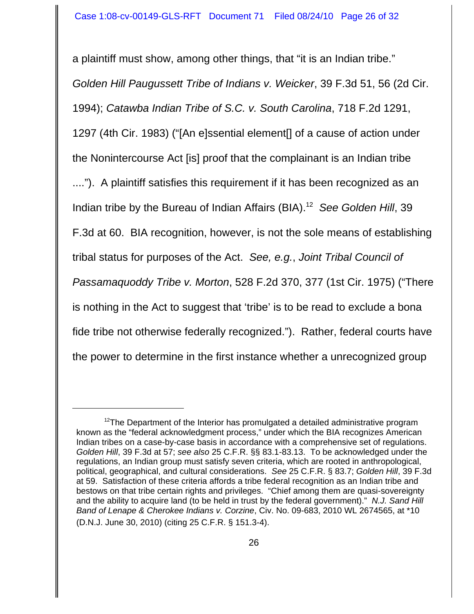a plaintiff must show, among other things, that "it is an Indian tribe." *Golden Hill Paugussett Tribe of Indians v. Weicker*, 39 F.3d 51, 56 (2d Cir. 1994); *Catawba Indian Tribe of S.C. v. South Carolina*, 718 F.2d 1291, 1297 (4th Cir. 1983) ("[An e]ssential element[] of a cause of action under the Nonintercourse Act [is] proof that the complainant is an Indian tribe ...."). A plaintiff satisfies this requirement if it has been recognized as an Indian tribe by the Bureau of Indian Affairs (BIA).12 *See Golden Hill*, 39 F.3d at 60. BIA recognition, however, is not the sole means of establishing tribal status for purposes of the Act. *See, e.g.*, *Joint Tribal Council of Passamaquoddy Tribe v. Morton*, 528 F.2d 370, 377 (1st Cir. 1975) ("There is nothing in the Act to suggest that 'tribe' is to be read to exclude a bona fide tribe not otherwise federally recognized."). Rather, federal courts have the power to determine in the first instance whether a unrecognized group

 $12$ The Department of the Interior has promulgated a detailed administrative program known as the "federal acknowledgment process," under which the BIA recognizes American Indian tribes on a case-by-case basis in accordance with a comprehensive set of regulations. *Golden Hill*, 39 F.3d at 57; *see also* 25 C.F.R. §§ 83.1-83.13. To be acknowledged under the regulations, an Indian group must satisfy seven criteria, which are rooted in anthropological, political, geographical, and cultural considerations. *See* 25 C.F.R. § 83.7; *Golden Hill*, 39 F.3d at 59. Satisfaction of these criteria affords a tribe federal recognition as an Indian tribe and bestows on that tribe certain rights and privileges. "Chief among them are quasi-sovereignty and the ability to acquire land (to be held in trust by the federal government)." *N.J. Sand Hill Band of Lenape & Cherokee Indians v. Corzine*, Civ. No. 09-683, 2010 WL 2674565, at \*10 (D.N.J. June 30, 2010) (citing 25 C.F.R. § 151.3-4).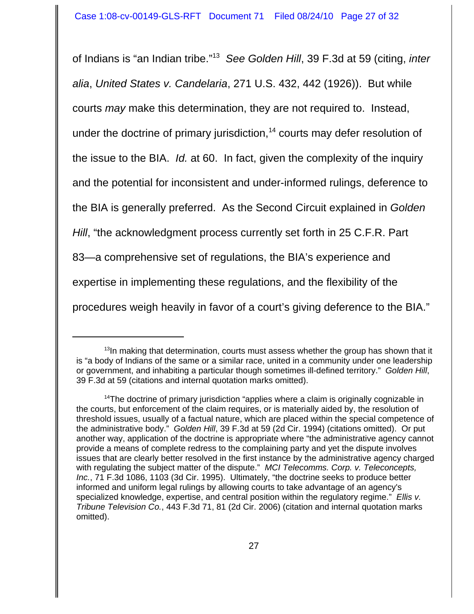of Indians is "an Indian tribe."13 *See Golden Hill*, 39 F.3d at 59 (citing, *inter alia*, *United States v. Candelaria*, 271 U.S. 432, 442 (1926)). But while courts *may* make this determination, they are not required to. Instead, under the doctrine of primary jurisdiction,<sup>14</sup> courts may defer resolution of the issue to the BIA. *Id.* at 60. In fact, given the complexity of the inquiry and the potential for inconsistent and under-informed rulings, deference to the BIA is generally preferred. As the Second Circuit explained in *Golden Hill*, "the acknowledgment process currently set forth in 25 C.F.R. Part 83—a comprehensive set of regulations, the BIA's experience and expertise in implementing these regulations, and the flexibility of the procedures weigh heavily in favor of a court's giving deference to the BIA."

 $13$ In making that determination, courts must assess whether the group has shown that it is "a body of Indians of the same or a similar race, united in a community under one leadership or government, and inhabiting a particular though sometimes ill-defined territory." *Golden Hill*, 39 F.3d at 59 (citations and internal quotation marks omitted).

<sup>&</sup>lt;sup>14</sup>The doctrine of primary jurisdiction "applies where a claim is originally cognizable in the courts, but enforcement of the claim requires, or is materially aided by, the resolution of threshold issues, usually of a factual nature, which are placed within the special competence of the administrative body." *Golden Hill*, 39 F.3d at 59 (2d Cir. 1994) (citations omitted). Or put another way, application of the doctrine is appropriate where "the administrative agency cannot provide a means of complete redress to the complaining party and yet the dispute involves issues that are clearly better resolved in the first instance by the administrative agency charged with regulating the subject matter of the dispute." *MCI Telecomms. Corp. v. Teleconcepts, Inc.*, 71 F.3d 1086, 1103 (3d Cir. 1995). Ultimately, "the doctrine seeks to produce better informed and uniform legal rulings by allowing courts to take advantage of an agency's specialized knowledge, expertise, and central position within the regulatory regime." *Ellis v. Tribune Television Co.*, 443 F.3d 71, 81 (2d Cir. 2006) (citation and internal quotation marks omitted).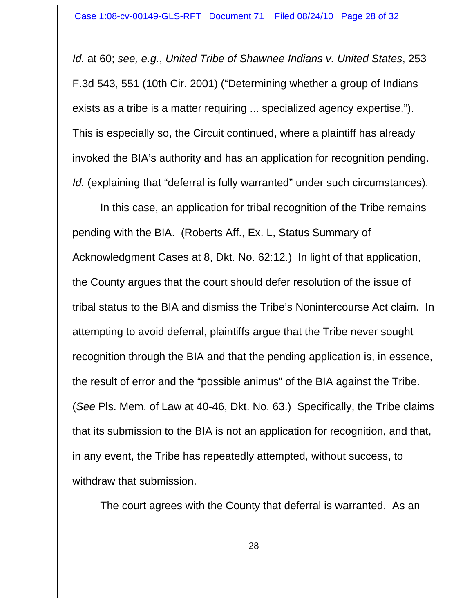*Id.* at 60; *see, e.g.*, *United Tribe of Shawnee Indians v. United States*, 253 F.3d 543, 551 (10th Cir. 2001) ("Determining whether a group of Indians exists as a tribe is a matter requiring ... specialized agency expertise."). This is especially so, the Circuit continued, where a plaintiff has already invoked the BIA's authority and has an application for recognition pending. *Id.* (explaining that "deferral is fully warranted" under such circumstances).

In this case, an application for tribal recognition of the Tribe remains pending with the BIA. (Roberts Aff., Ex. L, Status Summary of Acknowledgment Cases at 8, Dkt. No. 62:12.) In light of that application, the County argues that the court should defer resolution of the issue of tribal status to the BIA and dismiss the Tribe's Nonintercourse Act claim. In attempting to avoid deferral, plaintiffs argue that the Tribe never sought recognition through the BIA and that the pending application is, in essence, the result of error and the "possible animus" of the BIA against the Tribe. (*See* Pls. Mem. of Law at 40-46, Dkt. No. 63.) Specifically, the Tribe claims that its submission to the BIA is not an application for recognition, and that, in any event, the Tribe has repeatedly attempted, without success, to withdraw that submission.

The court agrees with the County that deferral is warranted. As an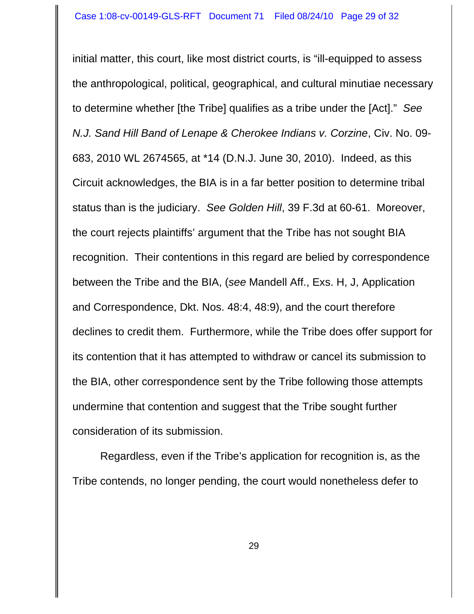initial matter, this court, like most district courts, is "ill-equipped to assess the anthropological, political, geographical, and cultural minutiae necessary to determine whether [the Tribe] qualifies as a tribe under the [Act]." *See N.J. Sand Hill Band of Lenape & Cherokee Indians v. Corzine*, Civ. No. 09- 683, 2010 WL 2674565, at \*14 (D.N.J. June 30, 2010). Indeed, as this Circuit acknowledges, the BIA is in a far better position to determine tribal status than is the judiciary. *See Golden Hill*, 39 F.3d at 60-61. Moreover, the court rejects plaintiffs' argument that the Tribe has not sought BIA recognition. Their contentions in this regard are belied by correspondence between the Tribe and the BIA, (*see* Mandell Aff., Exs. H, J, Application and Correspondence, Dkt. Nos. 48:4, 48:9), and the court therefore declines to credit them. Furthermore, while the Tribe does offer support for its contention that it has attempted to withdraw or cancel its submission to the BIA, other correspondence sent by the Tribe following those attempts undermine that contention and suggest that the Tribe sought further consideration of its submission.

Regardless, even if the Tribe's application for recognition is, as the Tribe contends, no longer pending, the court would nonetheless defer to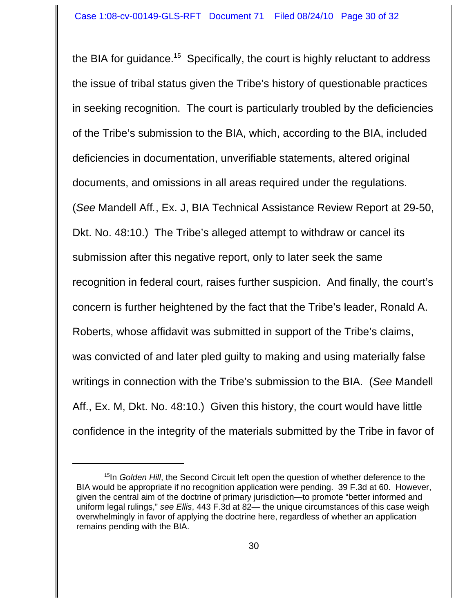the BIA for guidance.<sup>15</sup> Specifically, the court is highly reluctant to address the issue of tribal status given the Tribe's history of questionable practices in seeking recognition. The court is particularly troubled by the deficiencies of the Tribe's submission to the BIA, which, according to the BIA, included deficiencies in documentation, unverifiable statements, altered original documents, and omissions in all areas required under the regulations. (*See* Mandell Aff*.*, Ex. J, BIA Technical Assistance Review Report at 29-50, Dkt. No. 48:10.) The Tribe's alleged attempt to withdraw or cancel its submission after this negative report, only to later seek the same recognition in federal court, raises further suspicion. And finally, the court's concern is further heightened by the fact that the Tribe's leader, Ronald A. Roberts, whose affidavit was submitted in support of the Tribe's claims, was convicted of and later pled guilty to making and using materially false writings in connection with the Tribe's submission to the BIA. (*See* Mandell Aff., Ex. M, Dkt. No. 48:10.)Given this history, the court would have little confidence in the integrity of the materials submitted by the Tribe in favor of

<sup>&</sup>lt;sup>15</sup>In *Golden Hill*, the Second Circuit left open the question of whether deference to the BIA would be appropriate if no recognition application were pending. 39 F.3d at 60. However, given the central aim of the doctrine of primary jurisdiction—to promote "better informed and uniform legal rulings," *see Ellis*, 443 F.3d at 82— the unique circumstances of this case weigh overwhelmingly in favor of applying the doctrine here, regardless of whether an application remains pending with the BIA.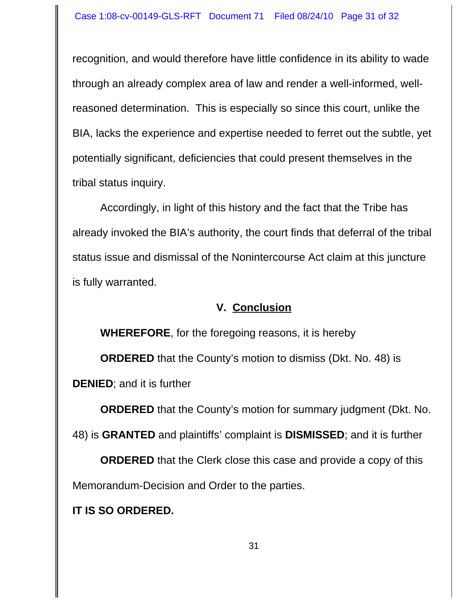recognition, and would therefore have little confidence in its ability to wade through an already complex area of law and render a well-informed, wellreasoned determination. This is especially so since this court, unlike the BIA, lacks the experience and expertise needed to ferret out the subtle, yet potentially significant, deficiencies that could present themselves in the tribal status inquiry.

Accordingly, in light of this history and the fact that the Tribe has already invoked the BIA's authority, the court finds that deferral of the tribal status issue and dismissal of the Nonintercourse Act claim at this juncture is fully warranted.

## **V. Conclusion**

**WHEREFORE**, for the foregoing reasons, it is hereby

**ORDERED** that the County's motion to dismiss (Dkt. No. 48) is

**DENIED**; and it is further

**ORDERED** that the County's motion for summary judgment (Dkt. No.

48) is **GRANTED** and plaintiffs' complaint is **DISMISSED**; and it is further

**ORDERED** that the Clerk close this case and provide a copy of this Memorandum-Decision and Order to the parties.

**IT IS SO ORDERED.**